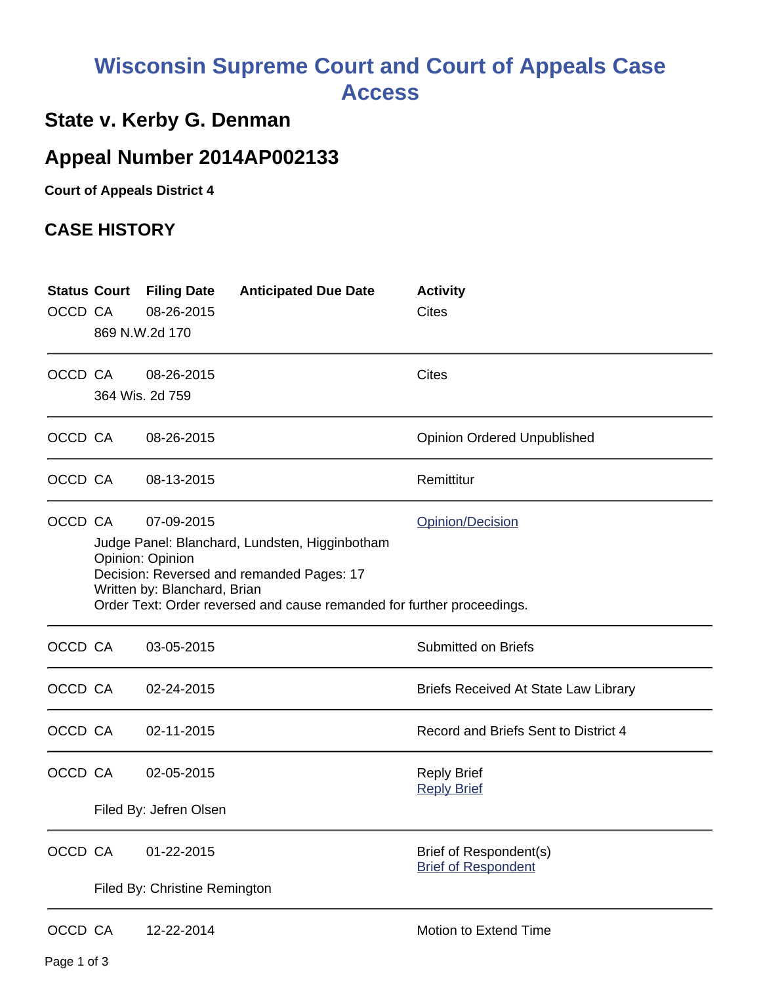## **Wisconsin Supreme Court and Court of Appeals Case Access**

## **State v. Kerby G. Denman**

## **Appeal Number 2014AP002133**

**Court of Appeals District 4**

## **CASE HISTORY**

| OCCD CA |                                                                                                                                                                                                                                                             | <b>Status Court Filing Date</b><br>08-26-2015<br>869 N.W.2d 170 | <b>Anticipated Due Date</b> | <b>Activity</b><br><b>Cites</b>                      |
|---------|-------------------------------------------------------------------------------------------------------------------------------------------------------------------------------------------------------------------------------------------------------------|-----------------------------------------------------------------|-----------------------------|------------------------------------------------------|
| OCCD CA |                                                                                                                                                                                                                                                             | 08-26-2015<br>364 Wis. 2d 759                                   |                             | <b>Cites</b>                                         |
|         | OCCD CA                                                                                                                                                                                                                                                     | 08-26-2015                                                      |                             | <b>Opinion Ordered Unpublished</b>                   |
| OCCD CA |                                                                                                                                                                                                                                                             | 08-13-2015                                                      |                             | Remittitur                                           |
| OCCD CA | 07-09-2015<br>Opinion/Decision<br>Judge Panel: Blanchard, Lundsten, Higginbotham<br>Opinion: Opinion<br>Decision: Reversed and remanded Pages: 17<br>Written by: Blanchard, Brian<br>Order Text: Order reversed and cause remanded for further proceedings. |                                                                 |                             |                                                      |
| OCCD CA |                                                                                                                                                                                                                                                             | 03-05-2015                                                      |                             | <b>Submitted on Briefs</b>                           |
| OCCD CA |                                                                                                                                                                                                                                                             | 02-24-2015                                                      |                             | <b>Briefs Received At State Law Library</b>          |
| OCCD CA |                                                                                                                                                                                                                                                             | 02-11-2015                                                      |                             | Record and Briefs Sent to District 4                 |
| OCCD CA |                                                                                                                                                                                                                                                             | 02-05-2015<br>Filed By: Jefren Olsen                            |                             | <b>Reply Brief</b><br><b>Reply Brief</b>             |
| OCCD CA |                                                                                                                                                                                                                                                             | 01-22-2015<br>Filed By: Christine Remington                     |                             | Brief of Respondent(s)<br><b>Brief of Respondent</b> |
| OCCD CA |                                                                                                                                                                                                                                                             | 12-22-2014                                                      |                             | Motion to Extend Time                                |

Page 1 of 3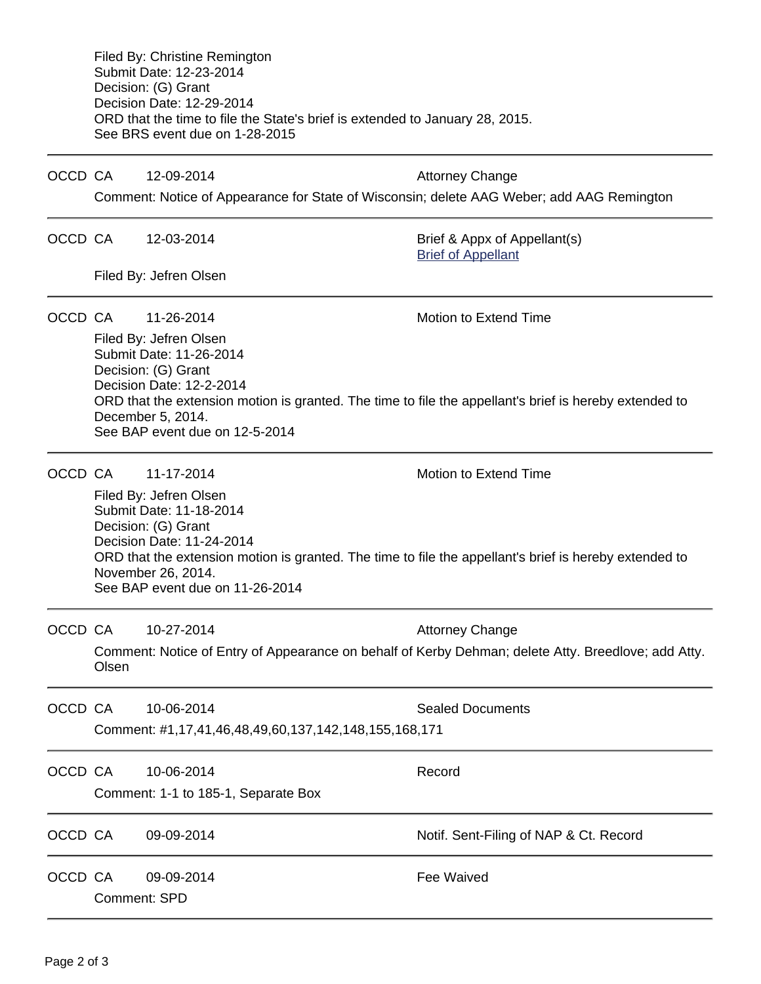Filed By: Christine Remington Submit Date: 12-23-2014 Decision: (G) Grant Decision Date: 12-29-2014 ORD that the time to file the State's brief is extended to January 28, 2015. See BRS event due on 1-28-2015

OCCD CA 12-09-2014 Attorney Change

Comment: Notice of Appearance for State of Wisconsin; delete AAG Weber; add AAG Remington

OCCD CA 12-03-2014 Brief & Appx of Appellant(s)

[Brief of Appellant](https://acefiling.wicourts.gov/document/eFiled/2014AP002133/131322)

Filed By: Jefren Olsen

OCCD CA  $11-26-2014$  Motion to Extend Time

Filed By: Jefren Olsen Submit Date: 11-26-2014 Decision: (G) Grant Decision Date: 12-2-2014 ORD that the extension motion is granted. The time to file the appellant's brief is hereby extended to December 5, 2014. See BAP event due on 12-5-2014

OCCD CA  $11-17-2014$  Motion to Extend Time

Filed By: Jefren Olsen Submit Date: 11-18-2014 Decision: (G) Grant Decision Date: 11-24-2014 ORD that the extension motion is granted. The time to file the appellant's brief is hereby extended to November 26, 2014. See BAP event due on 11-26-2014

OCCD CA 10-27-2014 **Attorney Change** Comment: Notice of Entry of Appearance on behalf of Kerby Dehman; delete Atty. Breedlove; add Atty. Olsen

| OCCD CA |                                                       | 10-06-2014 | <b>Sealed Documents</b>                |  |  |  |
|---------|-------------------------------------------------------|------------|----------------------------------------|--|--|--|
|         | Comment: #1,17,41,46,48,49,60,137,142,148,155,168,171 |            |                                        |  |  |  |
| OCCD CA |                                                       | 10-06-2014 | Record                                 |  |  |  |
|         | Comment: 1-1 to 185-1, Separate Box                   |            |                                        |  |  |  |
| OCCD CA |                                                       | 09-09-2014 | Notif. Sent-Filing of NAP & Ct. Record |  |  |  |
| OCCD CA |                                                       | 09-09-2014 | Fee Waived                             |  |  |  |
|         | Comment: SPD                                          |            |                                        |  |  |  |